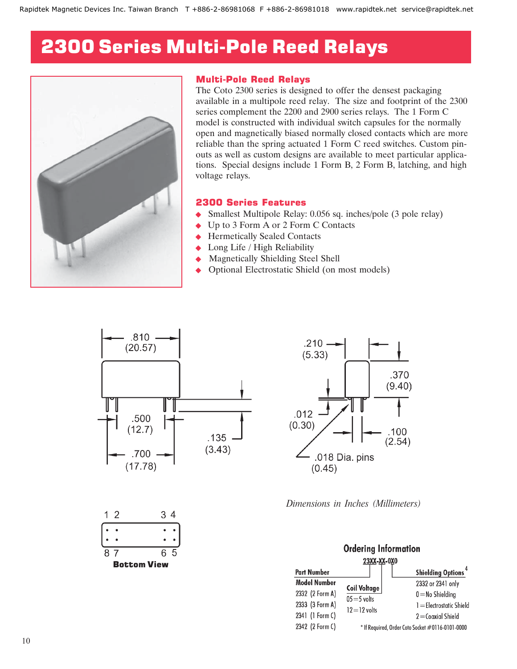## 2300 Series Multi-Pole Reed Relays



## Multi-Pole Reed Relays

The Coto 2300 series is designed to offer the densest packaging available in a multipole reed relay. The size and footprint of the 2300 series complement the 2200 and 2900 series relays. The 1 Form C model is constructed with individual switch capsules for the normally open and magnetically biased normally closed contacts which are more reliable than the spring actuated 1 Form C reed switches. Custom pinouts as well as custom designs are available to meet particular applications. Special designs include 1 Form B, 2 Form B, latching, and high voltage relays.

## 2300 Series Features

- Smallest Multipole Relay: 0.056 sq. inches/pole (3 pole relay)
- ◆ Up to 3 Form A or 2 Form C Contacts
- Hermetically Sealed Contacts
- Long Life / High Reliability
- Magnetically Shielding Steel Shell
- Optional Electrostatic Shield (on most models)





*Dimensions in Inches (Millimeters)*

| <b>Ordering Information</b> |                     |  |                                                  |  |  |  |  |  |  |
|-----------------------------|---------------------|--|--------------------------------------------------|--|--|--|--|--|--|
| 23XX-XX-0X0                 |                     |  |                                                  |  |  |  |  |  |  |
| <b>Part Number</b>          |                     |  | <b>Shielding Options<sup>4</sup></b>             |  |  |  |  |  |  |
| <b>Model Number</b>         | <b>Coil Voltage</b> |  | 2332 or 2341 only                                |  |  |  |  |  |  |
| 2332 (2 Form A)             | $05 = 5$ volts      |  | $0 =$ No Shielding                               |  |  |  |  |  |  |
| 2333 (3 Form A)             | $12 = 12$ volts     |  | 1 = Electrostatic Shield                         |  |  |  |  |  |  |
| 2341 (1 Form C)             |                     |  | $2 =$ Coaxial Shield                             |  |  |  |  |  |  |
| 2342 (2 Form C)             |                     |  | * If Required, Order Coto Socket #0116-0101-0000 |  |  |  |  |  |  |